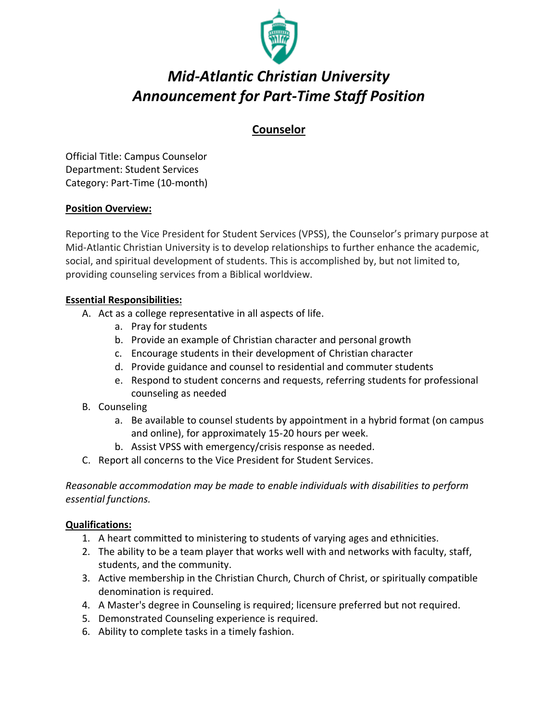

# *Mid-Atlantic Christian University Announcement for Part-Time Staff Position*

# **Counselor**

Official Title: Campus Counselor Department: Student Services Category: Part-Time (10-month)

## **Position Overview:**

Reporting to the Vice President for Student Services (VPSS), the Counselor's primary purpose at Mid-Atlantic Christian University is to develop relationships to further enhance the academic, social, and spiritual development of students. This is accomplished by, but not limited to, providing counseling services from a Biblical worldview.

## **Essential Responsibilities:**

- A. Act as a college representative in all aspects of life.
	- a. Pray for students
	- b. Provide an example of Christian character and personal growth
	- c. Encourage students in their development of Christian character
	- d. Provide guidance and counsel to residential and commuter students
	- e. Respond to student concerns and requests, referring students for professional counseling as needed
- B. Counseling
	- a. Be available to counsel students by appointment in a hybrid format (on campus and online), for approximately 15-20 hours per week.
	- b. Assist VPSS with emergency/crisis response as needed.
- C. Report all concerns to the Vice President for Student Services.

*Reasonable accommodation may be made to enable individuals with disabilities to perform essential functions.*

#### **Qualifications:**

- 1. A heart committed to ministering to students of varying ages and ethnicities.
- 2. The ability to be a team player that works well with and networks with faculty, staff, students, and the community.
- 3. Active membership in the Christian Church, Church of Christ, or spiritually compatible denomination is required.
- 4. A Master's degree in Counseling is required; licensure preferred but not required.
- 5. Demonstrated Counseling experience is required.
- 6. Ability to complete tasks in a timely fashion.